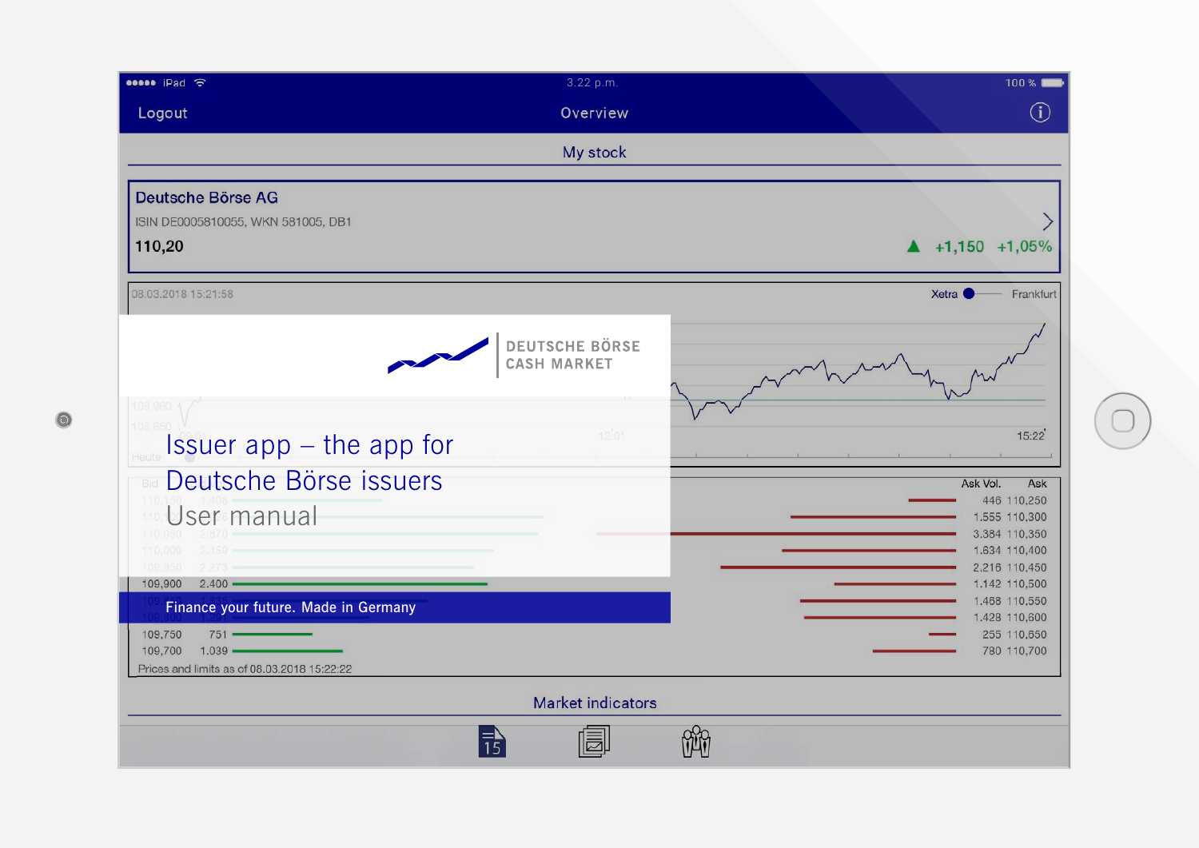| esse iPad 令                                                                                                                     | 3.22 p.m.                                            | 100%                                                                                                                |
|---------------------------------------------------------------------------------------------------------------------------------|------------------------------------------------------|---------------------------------------------------------------------------------------------------------------------|
| Logout                                                                                                                          | Overview                                             | $\mathbf{(i)}$                                                                                                      |
|                                                                                                                                 | My stock                                             |                                                                                                                     |
| Deutsche Börse AG<br>ISIN DE0005810055, WKN 581005, DB1<br>110,20                                                               |                                                      | $\blacktriangle$ +1,150 +1,05%                                                                                      |
| 08.03.2018 15:21:58                                                                                                             |                                                      | Frankfurt<br>Xetra <b>O</b>                                                                                         |
| 108,960 -<br>108,650<br>Issuer app - the app for                                                                                | <b>DEUTSCHE BÖRSE</b><br><b>CASH MARKET</b><br>12:01 | 15:22                                                                                                               |
| <b>BIG</b> Deutsche Börse issuers<br>User manual<br>110,050<br>2.459<br>110,000<br>2.273<br>109,950<br>$2.400 -$<br>109,900     |                                                      | Ask Vol.<br>Ask<br>446 110,250<br>1.555 110,300<br>3.384 110,350<br>1.634 110,400<br>2.216 110,450<br>1.142 110,500 |
| Finance your future. Made in Germany<br>109,750<br>751<br>$1.039$ $-$<br>109,700<br>Prices and limits as of 08.03.2018 15:22:22 |                                                      | 1.468 110,550<br>1.428 110,600<br>255 110,650<br>780 110,700                                                        |
|                                                                                                                                 | <b>Market indicators</b>                             |                                                                                                                     |
|                                                                                                                                 |                                                      |                                                                                                                     |

 $\bullet$ 

 $\bigcirc$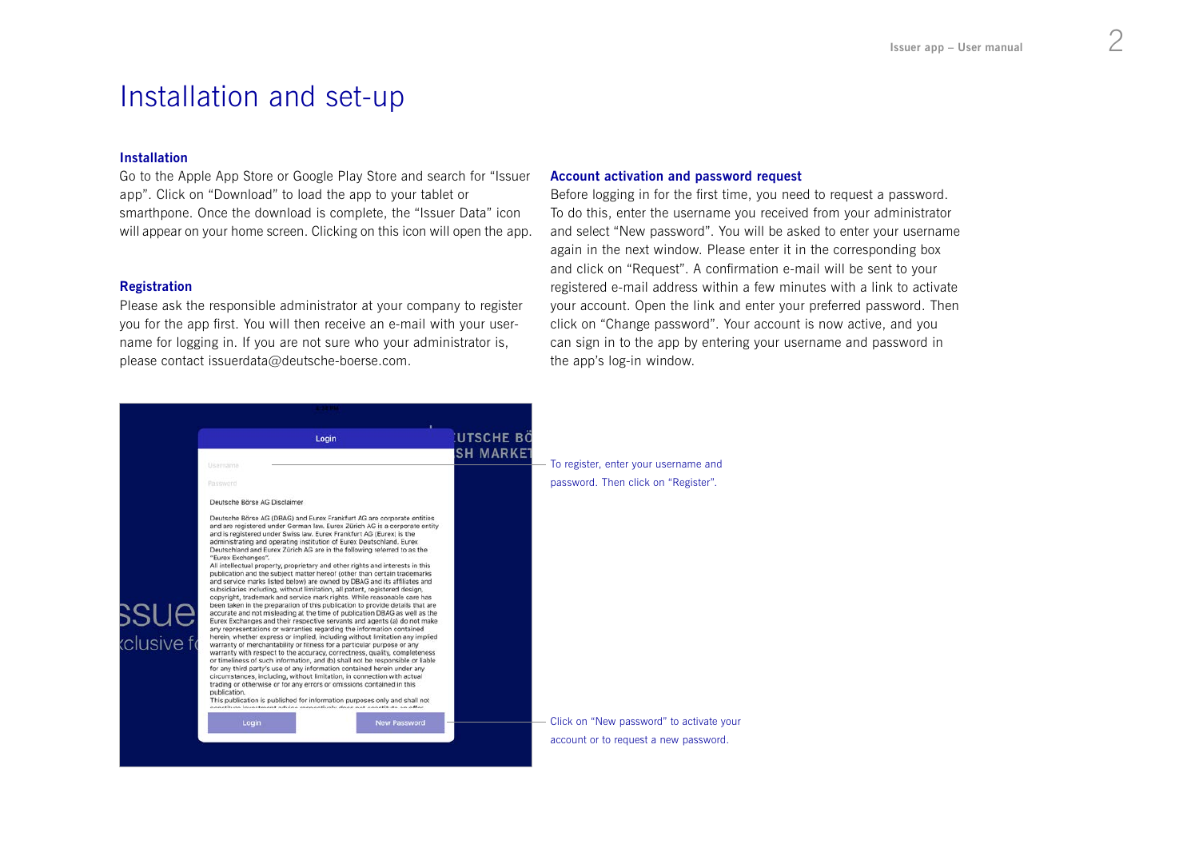## Installation and set-up

#### Installation

Go to the Apple App Store or Google Play Store and search for "Issuer app". Click on "Download" to load the app to your tablet or smarthpone. Once the download is complete, the "Issuer Data" icon will appear on your home screen. Clicking on this icon will open the app.

### **Registration**

Please ask the responsible administrator at your company to register you for the app first. You will then receive an e-mail with your username for logging in. If you are not sure who your administrator is, please contact issuerdata@deutsche-boerse.com.

### Account activation and password request

Before logging in for the first time, you need to request a password. To do this, enter the username you received from your administrator and select "New password". You will be asked to enter your username again in the next window. Please enter it in the corresponding box and click on "Request". A confirmation e-mail will be sent to your registered e-mail address within a few minutes with a link to activate your account. Open the link and enter your preferred password. Then click on "Change password". Your account is now active, and you can sign in to the app by entering your username and password in the app's log-in window.

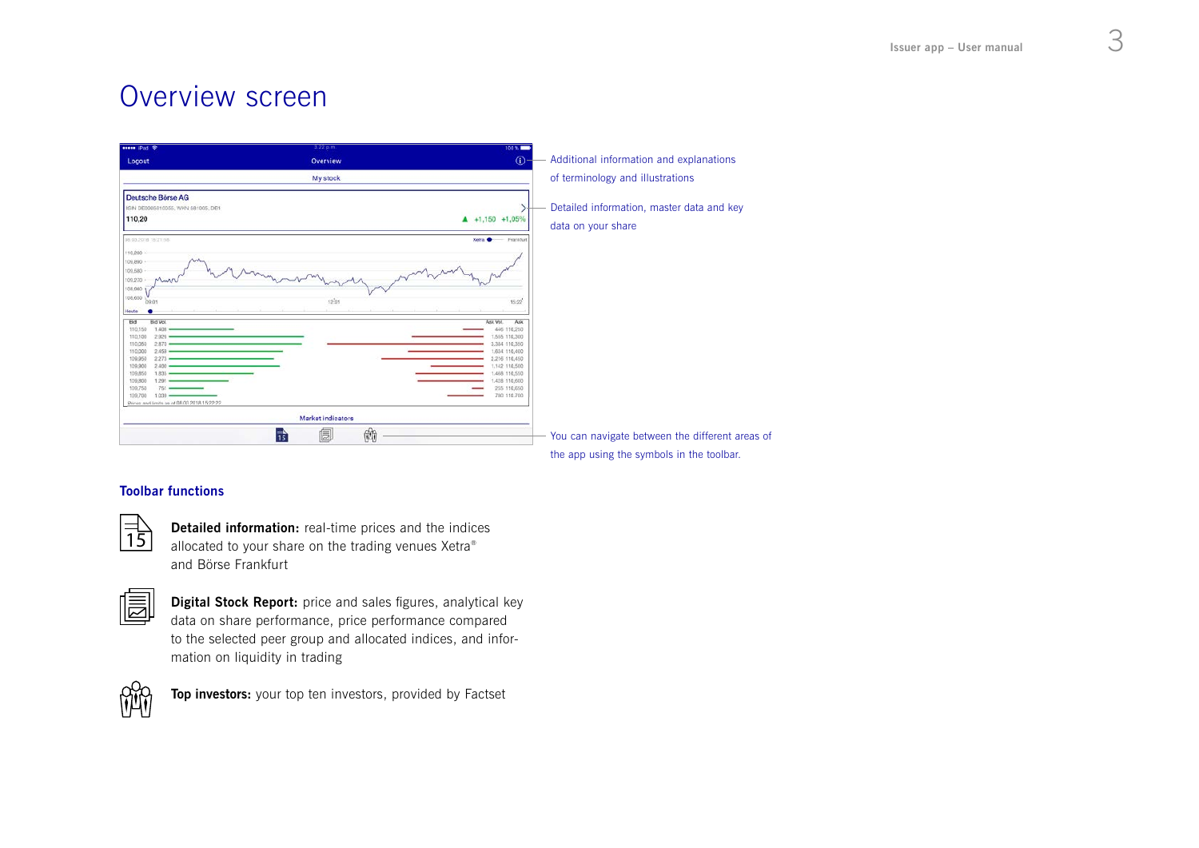# Overview screen

| Overview                         | Additional information and explanations<br>$\bullet$                                                                                                                                                                                                                             |
|----------------------------------|----------------------------------------------------------------------------------------------------------------------------------------------------------------------------------------------------------------------------------------------------------------------------------|
| My stock                         | of terminology and illustrations                                                                                                                                                                                                                                                 |
| 12:01                            | Detailed information, master data and key<br>$41,150$ +1,05%<br>data on your share<br>Xetra <sup>®</sup><br>Frankfurt<br>$\sim$<br>15:22<br>Ask Vol.<br>Ask<br>446 110,250<br>1.555 110,300<br>3,384 110,350<br>1,634 110,400<br>2.216 110,450<br>1.142 110.500<br>1.468 110,550 |
| Market indicators<br>蘭<br>6<br>靑 | 1,428 110,600<br>255 110,650<br>780 110,700<br>You can navigate between the different areas of                                                                                                                                                                                   |
|                                  |                                                                                                                                                                                                                                                                                  |

## Toolbar functions



Detailed information: real-time prices and the indices allocated to your share on the trading venues Xetra® and Börse Frankfurt

Digital Stock Report: price and sales figures, analytical key data on share performance, price performance compared to the selected peer group and allocated indices, and information on liquidity in trading



Top investors: your top ten investors, provided by Factset